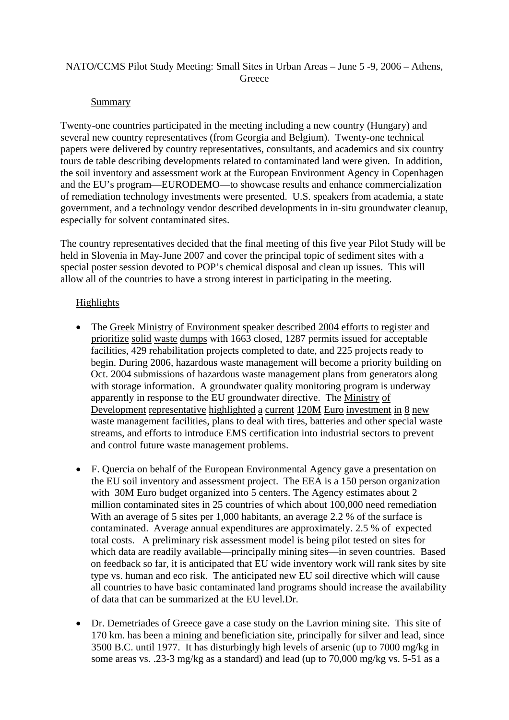## NATO/CCMS Pilot Study Meeting: Small Sites in Urban Areas – June 5 -9, 2006 – Athens, **Greece**

## Summary

Twenty-one countries participated in the meeting including a new country (Hungary) and several new country representatives (from Georgia and Belgium). Twenty-one technical papers were delivered by country representatives, consultants, and academics and six country tours de table describing developments related to contaminated land were given. In addition, the soil inventory and assessment work at the European Environment Agency in Copenhagen and the EU's program—EURODEMO—to showcase results and enhance commercialization of remediation technology investments were presented. U.S. speakers from academia, a state government, and a technology vendor described developments in in-situ groundwater cleanup, especially for solvent contaminated sites.

The country representatives decided that the final meeting of this five year Pilot Study will be held in Slovenia in May-June 2007 and cover the principal topic of sediment sites with a special poster session devoted to POP's chemical disposal and clean up issues. This will allow all of the countries to have a strong interest in participating in the meeting.

## Highlights

- The Greek Ministry of Environment speaker described 2004 efforts to register and prioritize solid waste dumps with 1663 closed, 1287 permits issued for acceptable facilities, 429 rehabilitation projects completed to date, and 225 projects ready to begin. During 2006, hazardous waste management will become a priority building on Oct. 2004 submissions of hazardous waste management plans from generators along with storage information. A groundwater quality monitoring program is underway apparently in response to the EU groundwater directive. The Ministry of Development representative highlighted a current 120M Euro investment in 8 new waste management facilities, plans to deal with tires, batteries and other special waste streams, and efforts to introduce EMS certification into industrial sectors to prevent and control future waste management problems.
- F. Quercia on behalf of the European Environmental Agency gave a presentation on the EU soil inventory and assessment project. The EEA is a 150 person organization with 30M Euro budget organized into 5 centers. The Agency estimates about 2 million contaminated sites in 25 countries of which about 100,000 need remediation With an average of 5 sites per 1,000 habitants, an average 2.2 % of the surface is contaminated. Average annual expenditures are approximately. 2.5 % of expected total costs. A preliminary risk assessment model is being pilot tested on sites for which data are readily available—principally mining sites—in seven countries. Based on feedback so far, it is anticipated that EU wide inventory work will rank sites by site type vs. human and eco risk. The anticipated new EU soil directive which will cause all countries to have basic contaminated land programs should increase the availability of data that can be summarized at the EU level.Dr.
- Dr. Demetriades of Greece gave a case study on the Lavrion mining site. This site of 170 km. has been a mining and beneficiation site, principally for silver and lead, since 3500 B.C. until 1977. It has disturbingly high levels of arsenic (up to 7000 mg/kg in some areas vs. .23-3 mg/kg as a standard) and lead (up to 70,000 mg/kg vs. 5-51 as a